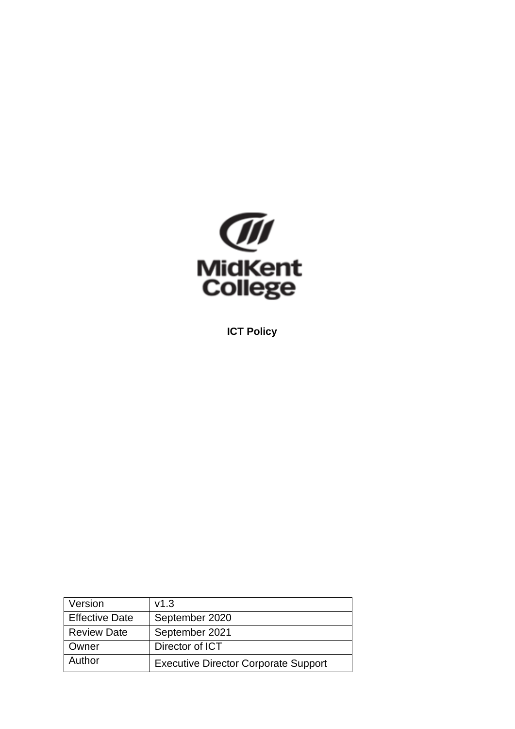

**ICT Policy**

| Version               | v1.3                                        |
|-----------------------|---------------------------------------------|
| <b>Effective Date</b> | September 2020                              |
| <b>Review Date</b>    | September 2021                              |
| Owner                 | Director of ICT                             |
| Author                | <b>Executive Director Corporate Support</b> |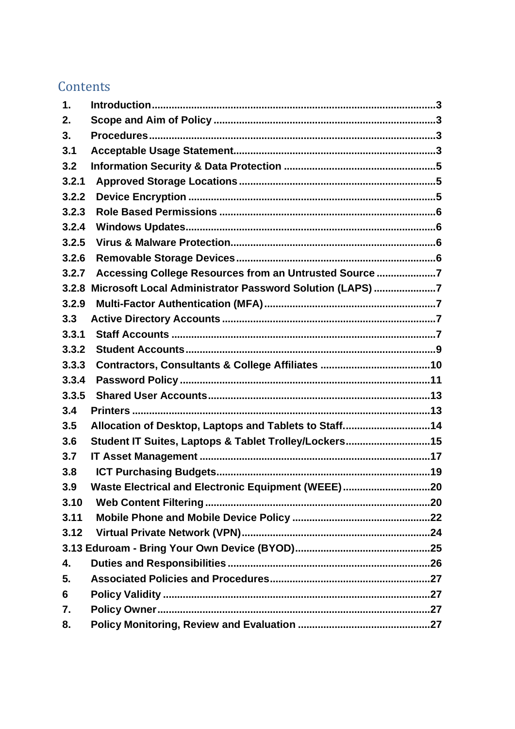# Contents

| 1.    |                                                          |  |
|-------|----------------------------------------------------------|--|
| 2.    |                                                          |  |
| 3.    |                                                          |  |
| 3.1   |                                                          |  |
| 3.2   |                                                          |  |
| 3.2.1 |                                                          |  |
| 3.2.2 |                                                          |  |
| 3.2.3 |                                                          |  |
| 3.2.4 |                                                          |  |
| 3.2.5 |                                                          |  |
| 3.2.6 |                                                          |  |
| 3.2.7 | Accessing College Resources from an Untrusted Source 7   |  |
| 3.2.8 | Microsoft Local Administrator Password Solution (LAPS) 7 |  |
| 3.2.9 |                                                          |  |
| 3.3   |                                                          |  |
| 3.3.1 |                                                          |  |
| 3.3.2 |                                                          |  |
| 3.3.3 |                                                          |  |
| 3.3.4 |                                                          |  |
| 3.3.5 |                                                          |  |
| 3.4   |                                                          |  |
| 3.5   | Allocation of Desktop, Laptops and Tablets to Staff14    |  |
| 3.6   | Student IT Suites, Laptops & Tablet Trolley/Lockers15    |  |
| 3.7   |                                                          |  |
| 3.8   |                                                          |  |
| 3.9   | Waste Electrical and Electronic Equipment (WEEE)20       |  |
| 3.10  |                                                          |  |
| 3.11  |                                                          |  |
| 3.12  |                                                          |  |
|       |                                                          |  |
| 4.    |                                                          |  |
| 5.    |                                                          |  |
| 6     |                                                          |  |
| 7.    |                                                          |  |
| 8.    |                                                          |  |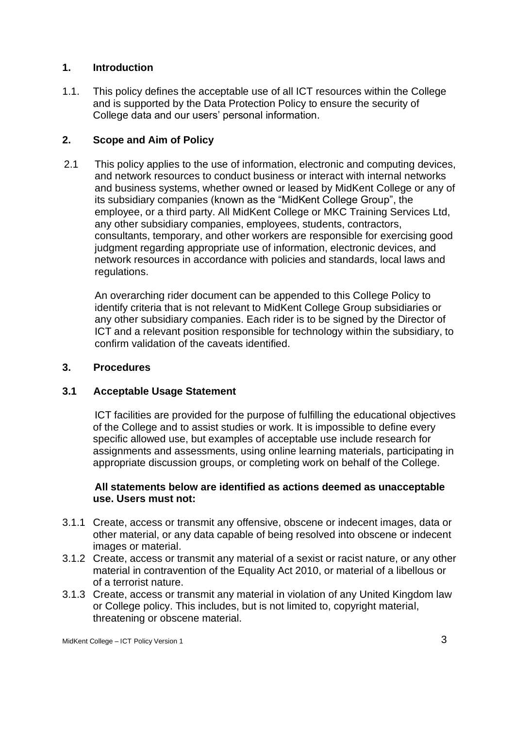### <span id="page-2-0"></span>**1. Introduction**

1.1. This policy defines the acceptable use of all ICT resources within the College and is supported by the Data Protection Policy to ensure the security of College data and our users' personal information.

### <span id="page-2-1"></span>**2. Scope and Aim of Policy**

2.1 This policy applies to the use of information, electronic and computing devices, and network resources to conduct business or interact with internal networks and business systems, whether owned or leased by MidKent College or any of its subsidiary companies (known as the "MidKent College Group", the employee, or a third party. All MidKent College or MKC Training Services Ltd, any other subsidiary companies, employees, students, contractors, consultants, temporary, and other workers are responsible for exercising good judgment regarding appropriate use of information, electronic devices, and network resources in accordance with policies and standards, local laws and regulations.

An overarching rider document can be appended to this College Policy to identify criteria that is not relevant to MidKent College Group subsidiaries or any other subsidiary companies. Each rider is to be signed by the Director of ICT and a relevant position responsible for technology within the subsidiary, to confirm validation of the caveats identified.

### <span id="page-2-2"></span>**3. Procedures**

### <span id="page-2-3"></span>**3.1 Acceptable Usage Statement**

ICT facilities are provided for the purpose of fulfilling the educational objectives of the College and to assist studies or work. It is impossible to define every specific allowed use, but examples of acceptable use include research for assignments and assessments, using online learning materials, participating in appropriate discussion groups, or completing work on behalf of the College.

### **All statements below are identified as actions deemed as unacceptable use. Users must not:**

- 3.1.1 Create, access or transmit any offensive, obscene or indecent images, data or other material, or any data capable of being resolved into obscene or indecent images or material.
- 3.1.2 Create, access or transmit any material of a sexist or racist nature, or any other material in contravention of the Equality Act 2010, or material of a libellous or of a terrorist nature.
- 3.1.3 Create, access or transmit any material in violation of any United Kingdom law or College policy. This includes, but is not limited to, copyright material, threatening or obscene material.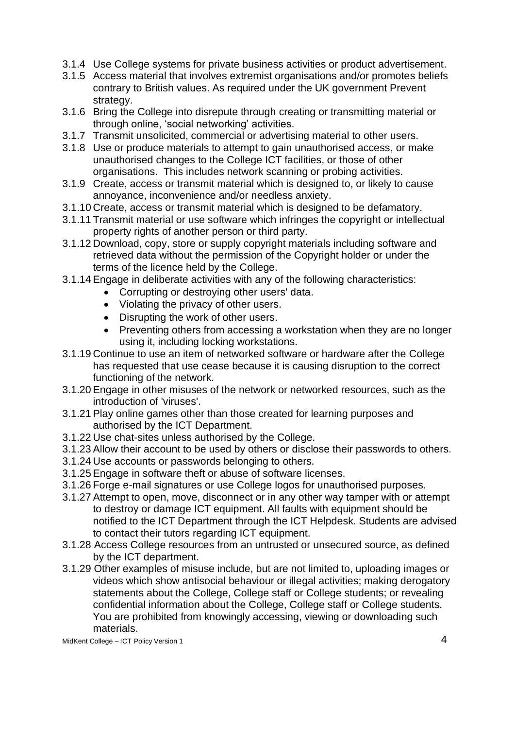- 3.1.4 Use College systems for private business activities or product advertisement.
- 3.1.5 Access material that involves extremist organisations and/or promotes beliefs contrary to British values. As required under the UK government Prevent strategy.
- 3.1.6 Bring the College into disrepute through creating or transmitting material or through online, 'social networking' activities.
- 3.1.7 Transmit unsolicited, commercial or advertising material to other users.
- 3.1.8 Use or produce materials to attempt to gain unauthorised access, or make unauthorised changes to the College ICT facilities, or those of other organisations. This includes network scanning or probing activities.
- 3.1.9 Create, access or transmit material which is designed to, or likely to cause annoyance, inconvenience and/or needless anxiety.
- 3.1.10 Create, access or transmit material which is designed to be defamatory.
- 3.1.11 Transmit material or use software which infringes the copyright or intellectual property rights of another person or third party.
- 3.1.12 Download, copy, store or supply copyright materials including software and retrieved data without the permission of the Copyright holder or under the terms of the licence held by the College.
- 3.1.14 Engage in deliberate activities with any of the following characteristics:
	- Corrupting or destroying other users' data.
	- Violating the privacy of other users.
	- Disrupting the work of other users.
	- Preventing others from accessing a workstation when they are no longer using it, including locking workstations.
- 3.1.19 Continue to use an item of networked software or hardware after the College has requested that use cease because it is causing disruption to the correct functioning of the network.
- 3.1.20 Engage in other misuses of the network or networked resources, such as the introduction of 'viruses'.
- 3.1.21 Play online games other than those created for learning purposes and authorised by the ICT Department.
- 3.1.22 Use chat-sites unless authorised by the College.
- 3.1.23 Allow their account to be used by others or disclose their passwords to others.
- 3.1.24 Use accounts or passwords belonging to others.
- 3.1.25 Engage in software theft or abuse of software licenses.
- 3.1.26 Forge e-mail signatures or use College logos for unauthorised purposes.
- 3.1.27 Attempt to open, move, disconnect or in any other way tamper with or attempt to destroy or damage ICT equipment. All faults with equipment should be notified to the ICT Department through the ICT Helpdesk. Students are advised to contact their tutors regarding ICT equipment.
- 3.1.28 Access College resources from an untrusted or unsecured source, as defined by the ICT department.
- 3.1.29 Other examples of misuse include, but are not limited to, uploading images or videos which show antisocial behaviour or illegal activities; making derogatory statements about the College, College staff or College students; or revealing confidential information about the College, College staff or College students. You are prohibited from knowingly accessing, viewing or downloading such materials.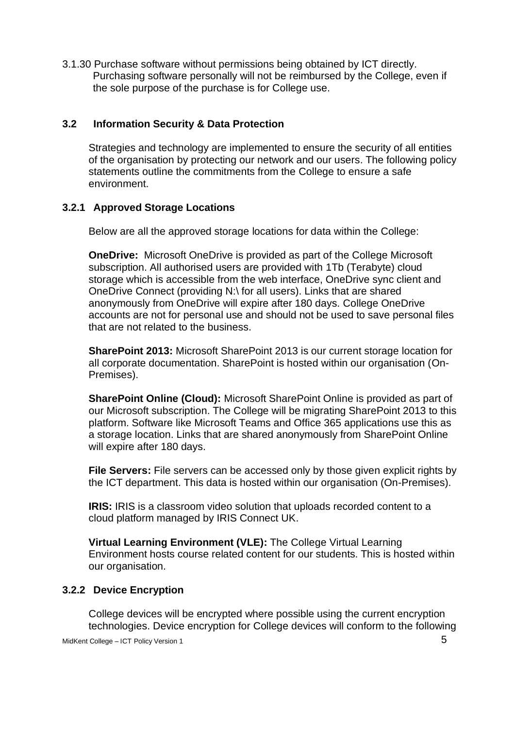3.1.30 Purchase software without permissions being obtained by ICT directly. Purchasing software personally will not be reimbursed by the College, even if the sole purpose of the purchase is for College use.

### <span id="page-4-0"></span>**3.2 Information Security & Data Protection**

Strategies and technology are implemented to ensure the security of all entities of the organisation by protecting our network and our users. The following policy statements outline the commitments from the College to ensure a safe environment.

### <span id="page-4-1"></span>**3.2.1 Approved Storage Locations**

Below are all the approved storage locations for data within the College:

**OneDrive:** Microsoft OneDrive is provided as part of the College Microsoft subscription. All authorised users are provided with 1Tb (Terabyte) cloud storage which is accessible from the web interface, OneDrive sync client and OneDrive Connect (providing N:\ for all users). Links that are shared anonymously from OneDrive will expire after 180 days. College OneDrive accounts are not for personal use and should not be used to save personal files that are not related to the business.

**SharePoint 2013:** Microsoft SharePoint 2013 is our current storage location for all corporate documentation. SharePoint is hosted within our organisation (On-Premises).

**SharePoint Online (Cloud):** Microsoft SharePoint Online is provided as part of our Microsoft subscription. The College will be migrating SharePoint 2013 to this platform. Software like Microsoft Teams and Office 365 applications use this as a storage location. Links that are shared anonymously from SharePoint Online will expire after 180 days.

**File Servers:** File servers can be accessed only by those given explicit rights by the ICT department. This data is hosted within our organisation (On-Premises).

**IRIS:** IRIS is a classroom video solution that uploads recorded content to a cloud platform managed by IRIS Connect UK.

**Virtual Learning Environment (VLE):** The College Virtual Learning Environment hosts course related content for our students. This is hosted within our organisation.

### <span id="page-4-2"></span>**3.2.2 Device Encryption**

College devices will be encrypted where possible using the current encryption technologies. Device encryption for College devices will conform to the following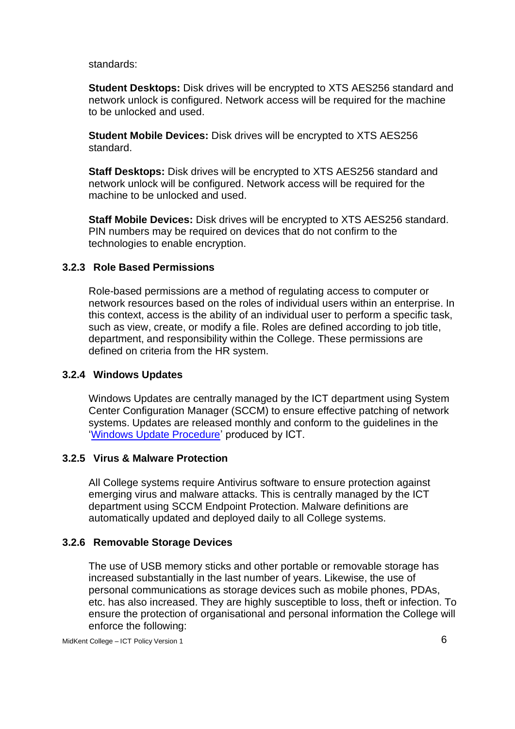standards:

**Student Desktops:** Disk drives will be encrypted to XTS AES256 standard and network unlock is configured. Network access will be required for the machine to be unlocked and used.

**Student Mobile Devices:** Disk drives will be encrypted to XTS AES256 standard.

**Staff Desktops:** Disk drives will be encrypted to XTS AES256 standard and network unlock will be configured. Network access will be required for the machine to be unlocked and used.

**Staff Mobile Devices:** Disk drives will be encrypted to XTS AES256 standard. PIN numbers may be required on devices that do not confirm to the technologies to enable encryption.

### <span id="page-5-0"></span>**3.2.3 Role Based Permissions**

Role-based permissions are a method of regulating access to computer or network resources based on the roles of individual users within an enterprise. In this context, access is the ability of an individual user to perform a specific task, such as view, create, or modify a file. Roles are defined according to job title, department, and responsibility within the College. These permissions are defined on criteria from the HR system.

### <span id="page-5-1"></span>**3.2.4 Windows Updates**

Windows Updates are centrally managed by the ICT department using System Center Configuration Manager (SCCM) to ensure effective patching of network systems. Updates are released monthly and conform to the guidelines in the ['Windows Update Procedure'](https://sp.midkent.ac.uk/sites/ict/ictdocs/ICT%20Procedures/Windows%20Updates/Windows-Update-Procedure-V1.docx?Web=1) produced by ICT.

### <span id="page-5-2"></span>**3.2.5 Virus & Malware Protection**

All College systems require Antivirus software to ensure protection against emerging virus and malware attacks. This is centrally managed by the ICT department using SCCM Endpoint Protection. Malware definitions are automatically updated and deployed daily to all College systems.

### <span id="page-5-3"></span>**3.2.6 Removable Storage Devices**

The use of USB memory sticks and other portable or removable storage has increased substantially in the last number of years. Likewise, the use of personal communications as storage devices such as mobile phones, PDAs, etc. has also increased. They are highly susceptible to loss, theft or infection. To ensure the protection of organisational and personal information the College will enforce the following: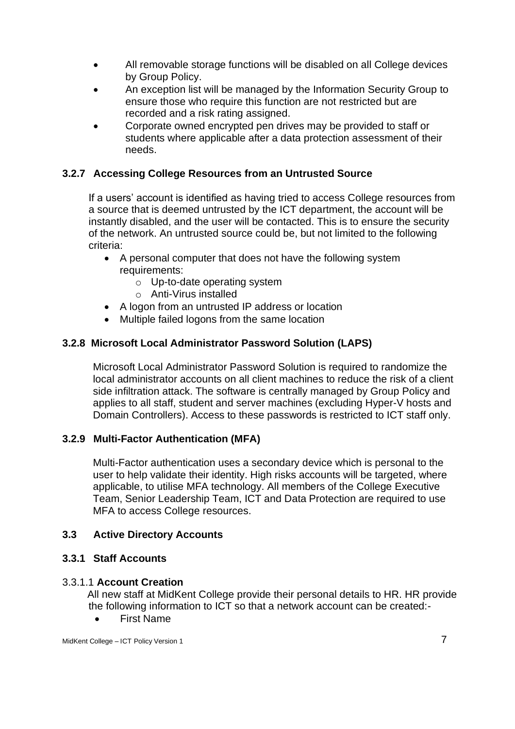- All removable storage functions will be disabled on all College devices by Group Policy.
- An exception list will be managed by the Information Security Group to ensure those who require this function are not restricted but are recorded and a risk rating assigned.
- Corporate owned encrypted pen drives may be provided to staff or students where applicable after a data protection assessment of their needs.

### <span id="page-6-0"></span>**3.2.7 Accessing College Resources from an Untrusted Source**

If a users' account is identified as having tried to access College resources from a source that is deemed untrusted by the ICT department, the account will be instantly disabled, and the user will be contacted. This is to ensure the security of the network. An untrusted source could be, but not limited to the following criteria:

- A personal computer that does not have the following system requirements:
	- o Up-to-date operating system
	- o Anti-Virus installed
- A logon from an untrusted IP address or location
- Multiple failed logons from the same location

### <span id="page-6-1"></span>**3.2.8 Microsoft Local Administrator Password Solution (LAPS)**

Microsoft Local Administrator Password Solution is required to randomize the local administrator accounts on all client machines to reduce the risk of a client side infiltration attack. The software is centrally managed by Group Policy and applies to all staff, student and server machines (excluding Hyper-V hosts and Domain Controllers). Access to these passwords is restricted to ICT staff only.

### <span id="page-6-2"></span>**3.2.9 Multi-Factor Authentication (MFA)**

Multi-Factor authentication uses a secondary device which is personal to the user to help validate their identity. High risks accounts will be targeted, where applicable, to utilise MFA technology. All members of the College Executive Team, Senior Leadership Team, ICT and Data Protection are required to use MFA to access College resources.

### <span id="page-6-3"></span>**3.3 Active Directory Accounts**

### <span id="page-6-4"></span>**3.3.1 Staff Accounts**

### 3.3.1.1 **Account Creation**

All new staff at MidKent College provide their personal details to HR. HR provide the following information to ICT so that a network account can be created:-

• First Name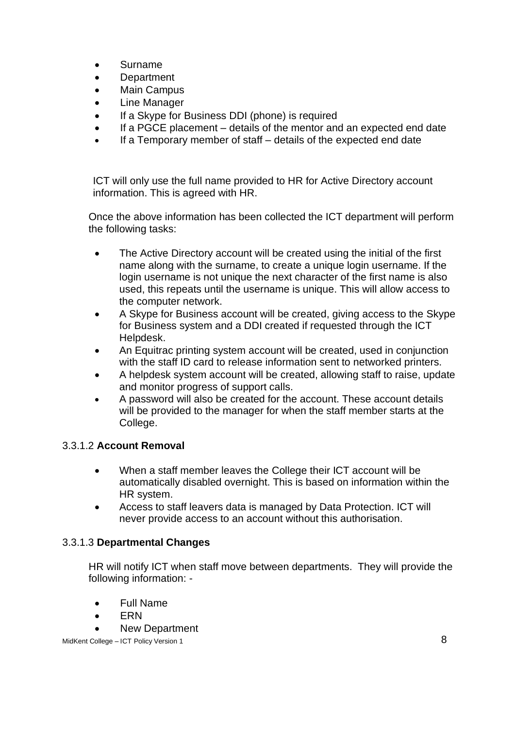- Surname
- Department
- Main Campus
- Line Manager
- If a Skype for Business DDI (phone) is required
- If a PGCE placement details of the mentor and an expected end date
- If a Temporary member of staff details of the expected end date

ICT will only use the full name provided to HR for Active Directory account information. This is agreed with HR.

Once the above information has been collected the ICT department will perform the following tasks:

- The Active Directory account will be created using the initial of the first name along with the surname, to create a unique login username. If the login username is not unique the next character of the first name is also used, this repeats until the username is unique. This will allow access to the computer network.
- A Skype for Business account will be created, giving access to the Skype for Business system and a DDI created if requested through the ICT Helpdesk.
- An Equitrac printing system account will be created, used in conjunction with the staff ID card to release information sent to networked printers.
- A helpdesk system account will be created, allowing staff to raise, update and monitor progress of support calls.
- A password will also be created for the account. These account details will be provided to the manager for when the staff member starts at the College.

### 3.3.1.2 **Account Removal**

- When a staff member leaves the College their ICT account will be automatically disabled overnight. This is based on information within the HR system.
- Access to staff leavers data is managed by Data Protection. ICT will never provide access to an account without this authorisation.

### 3.3.1.3 **Departmental Changes**

HR will notify ICT when staff move between departments. They will provide the following information: -

- Full Name
- ERN
- New Department

MidKent College – ICT Policy Version 1 8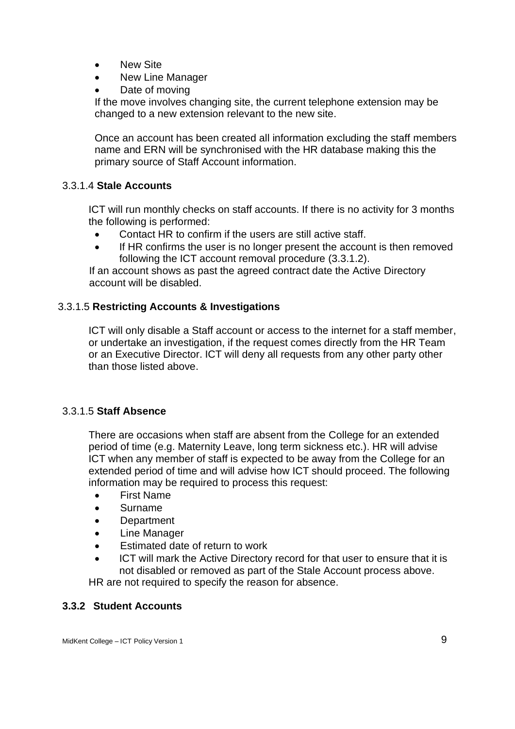- New Site
- New Line Manager
- Date of moving

If the move involves changing site, the current telephone extension may be changed to a new extension relevant to the new site.

Once an account has been created all information excluding the staff members name and ERN will be synchronised with the HR database making this the primary source of Staff Account information.

### 3.3.1.4 **Stale Accounts**

ICT will run monthly checks on staff accounts. If there is no activity for 3 months the following is performed:

- Contact HR to confirm if the users are still active staff.
- If HR confirms the user is no longer present the account is then removed following the ICT account removal procedure (3.3.1.2).

If an account shows as past the agreed contract date the Active Directory account will be disabled.

### 3.3.1.5 **Restricting Accounts & Investigations**

ICT will only disable a Staff account or access to the internet for a staff member, or undertake an investigation, if the request comes directly from the HR Team or an Executive Director. ICT will deny all requests from any other party other than those listed above.

### 3.3.1.5 **Staff Absence**

There are occasions when staff are absent from the College for an extended period of time (e.g. Maternity Leave, long term sickness etc.). HR will advise ICT when any member of staff is expected to be away from the College for an extended period of time and will advise how ICT should proceed. The following information may be required to process this request:

- First Name
- Surname
- Department
- Line Manager
- Estimated date of return to work
- ICT will mark the Active Directory record for that user to ensure that it is not disabled or removed as part of the Stale Account process above.

HR are not required to specify the reason for absence.

### <span id="page-8-0"></span>**3.3.2 Student Accounts**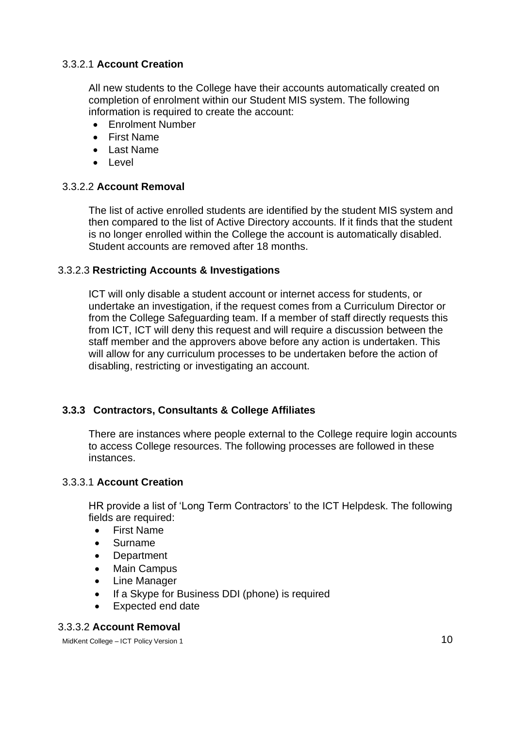### 3.3.2.1 **Account Creation**

All new students to the College have their accounts automatically created on completion of enrolment within our Student MIS system. The following information is required to create the account:

- Enrolment Number
- First Name
- Last Name
- Level

### 3.3.2.2 **Account Removal**

The list of active enrolled students are identified by the student MIS system and then compared to the list of Active Directory accounts. If it finds that the student is no longer enrolled within the College the account is automatically disabled. Student accounts are removed after 18 months.

### 3.3.2.3 **Restricting Accounts & Investigations**

ICT will only disable a student account or internet access for students, or undertake an investigation, if the request comes from a Curriculum Director or from the College Safeguarding team. If a member of staff directly requests this from ICT, ICT will deny this request and will require a discussion between the staff member and the approvers above before any action is undertaken. This will allow for any curriculum processes to be undertaken before the action of disabling, restricting or investigating an account.

### <span id="page-9-0"></span>**3.3.3 Contractors, Consultants & College Affiliates**

There are instances where people external to the College require login accounts to access College resources. The following processes are followed in these instances.

### 3.3.3.1 **Account Creation**

HR provide a list of 'Long Term Contractors' to the ICT Helpdesk. The following fields are required:

- First Name
- Surname
- Department
- Main Campus
- Line Manager
- If a Skype for Business DDI (phone) is required
- Expected end date

### 3.3.3.2 **Account Removal**

MidKent College – ICT Policy Version 1 10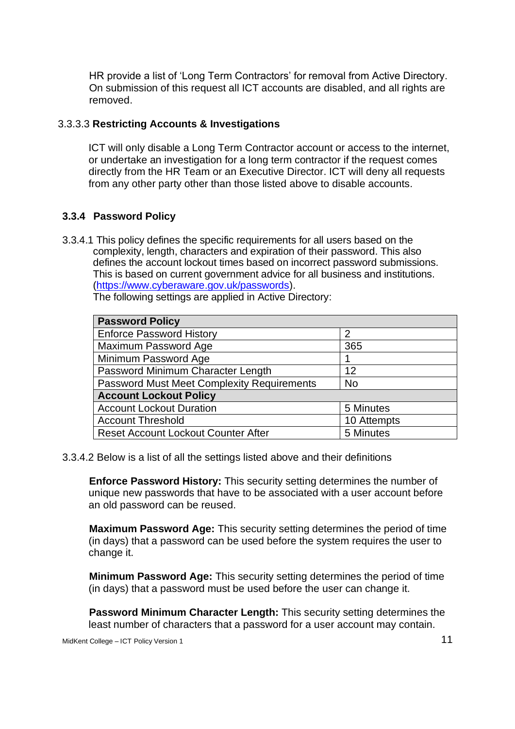HR provide a list of 'Long Term Contractors' for removal from Active Directory. On submission of this request all ICT accounts are disabled, and all rights are removed.

### 3.3.3.3 **Restricting Accounts & Investigations**

ICT will only disable a Long Term Contractor account or access to the internet, or undertake an investigation for a long term contractor if the request comes directly from the HR Team or an Executive Director. ICT will deny all requests from any other party other than those listed above to disable accounts.

### <span id="page-10-0"></span>**3.3.4 Password Policy**

3.3.4.1 This policy defines the specific requirements for all users based on the complexity, length, characters and expiration of their password. This also defines the account lockout times based on incorrect password submissions. This is based on current government advice for all business and institutions. [\(https://www.cyberaware.gov.uk/passwords\)](https://www.cyberaware.gov.uk/passwords).

The following settings are applied in Active Directory:

| <b>Password Policy</b>                            |             |  |  |  |  |
|---------------------------------------------------|-------------|--|--|--|--|
| <b>Enforce Password History</b>                   | 2           |  |  |  |  |
| Maximum Password Age                              | 365         |  |  |  |  |
| Minimum Password Age                              |             |  |  |  |  |
| Password Minimum Character Length                 | 12          |  |  |  |  |
| <b>Password Must Meet Complexity Requirements</b> | <b>No</b>   |  |  |  |  |
| <b>Account Lockout Policy</b>                     |             |  |  |  |  |
| <b>Account Lockout Duration</b>                   | 5 Minutes   |  |  |  |  |
| <b>Account Threshold</b>                          | 10 Attempts |  |  |  |  |
| <b>Reset Account Lockout Counter After</b>        | 5 Minutes   |  |  |  |  |

3.3.4.2 Below is a list of all the settings listed above and their definitions

**Enforce Password History:** This security setting determines the number of unique new passwords that have to be associated with a user account before an old password can be reused.

**Maximum Password Age:** This security setting determines the period of time (in days) that a password can be used before the system requires the user to change it.

**Minimum Password Age:** This security setting determines the period of time (in days) that a password must be used before the user can change it.

**Password Minimum Character Length:** This security setting determines the least number of characters that a password for a user account may contain.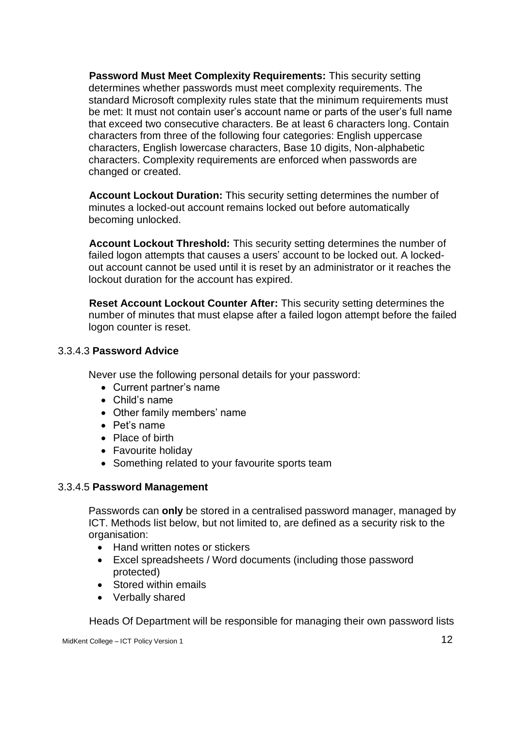**Password Must Meet Complexity Requirements:** This security setting determines whether passwords must meet complexity requirements. The standard Microsoft complexity rules state that the minimum requirements must be met: It must not contain user's account name or parts of the user's full name that exceed two consecutive characters. Be at least 6 characters long. Contain characters from three of the following four categories: English uppercase characters, English lowercase characters, Base 10 digits, Non-alphabetic characters. Complexity requirements are enforced when passwords are changed or created.

**Account Lockout Duration:** This security setting determines the number of minutes a locked-out account remains locked out before automatically becoming unlocked.

**Account Lockout Threshold:** This security setting determines the number of failed logon attempts that causes a users' account to be locked out. A lockedout account cannot be used until it is reset by an administrator or it reaches the lockout duration for the account has expired.

**Reset Account Lockout Counter After:** This security setting determines the number of minutes that must elapse after a failed logon attempt before the failed logon counter is reset.

### 3.3.4.3 **Password Advice**

Never use the following personal details for your password:

- Current partner's name
- Child's name
- Other family members' name
- Pet's name
- Place of birth
- Favourite holiday
- Something related to your favourite sports team

#### 3.3.4.5 **Password Management**

Passwords can **only** be stored in a centralised password manager, managed by ICT. Methods list below, but not limited to, are defined as a security risk to the organisation:

- Hand written notes or stickers
- Excel spreadsheets / Word documents (including those password protected)
- Stored within emails
- Verbally shared

Heads Of Department will be responsible for managing their own password lists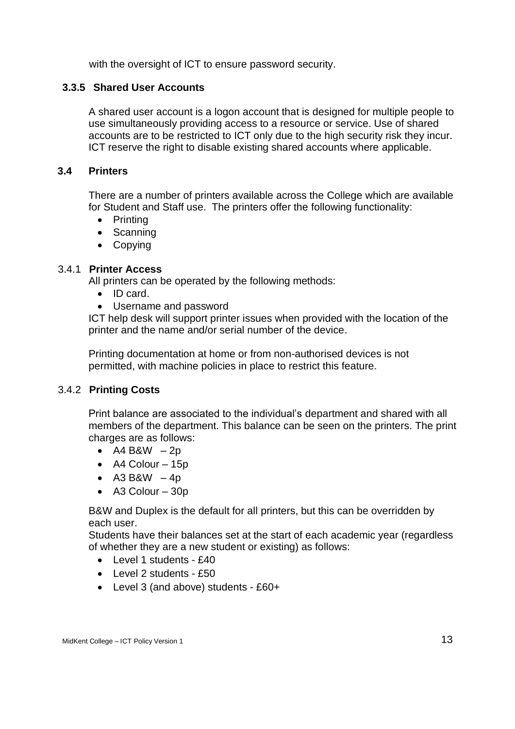with the oversight of ICT to ensure password security.

### <span id="page-12-0"></span>**3.3.5 Shared User Accounts**

A shared user account is a logon account that is designed for multiple people to use simultaneously providing access to a resource or service. Use of shared accounts are to be restricted to ICT only due to the high security risk they incur. ICT reserve the right to disable existing shared accounts where applicable.

### <span id="page-12-1"></span>**3.4 Printers**

There are a number of printers available across the College which are available for Student and Staff use. The printers offer the following functionality:

- Printing
- Scanning
- Copying

### 3.4.1 **Printer Access**

All printers can be operated by the following methods:

- ID card.
- Username and password

ICT help desk will support printer issues when provided with the location of the printer and the name and/or serial number of the device.

Printing documentation at home or from non-authorised devices is not permitted, with machine policies in place to restrict this feature.

### 3.4.2 **Printing Costs**

Print balance are associated to the individual's department and shared with all members of the department. This balance can be seen on the printers. The print charges are as follows:

- $A4 BAW 2p$
- A4 Colour 15p
- A3 B&W  $-4p$
- A3 Colour 30p

B&W and Duplex is the default for all printers, but this can be overridden by each user.

Students have their balances set at the start of each academic year (regardless of whether they are a new student or existing) as follows:

- $\bullet$  Level 1 students  $f40$
- Level 2 students £50
- Level 3 (and above) students £60+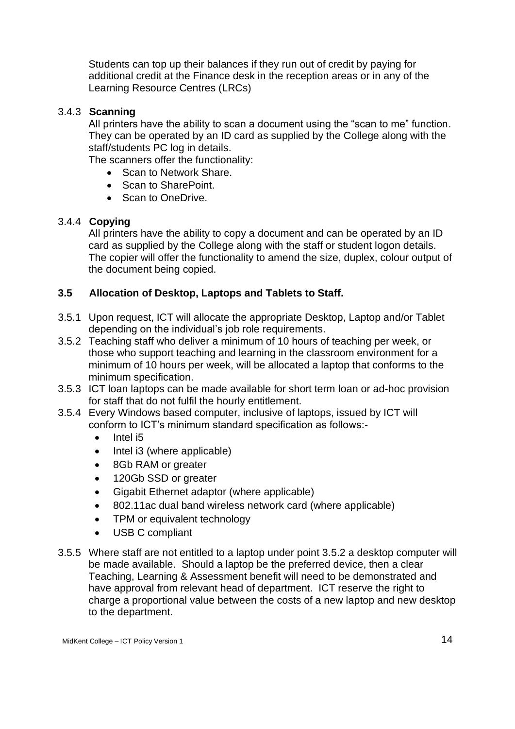Students can top up their balances if they run out of credit by paying for additional credit at the Finance desk in the reception areas or in any of the Learning Resource Centres (LRCs)

### 3.4.3 **Scanning**

All printers have the ability to scan a document using the "scan to me" function. They can be operated by an ID card as supplied by the College along with the staff/students PC log in details.

The scanners offer the functionality:

- Scan to Network Share.
- Scan to SharePoint.
- Scan to OneDrive.

### 3.4.4 **Copying**

All printers have the ability to copy a document and can be operated by an ID card as supplied by the College along with the staff or student logon details. The copier will offer the functionality to amend the size, duplex, colour output of the document being copied.

### <span id="page-13-0"></span>**3.5 Allocation of Desktop, Laptops and Tablets to Staff.**

- 3.5.1 Upon request, ICT will allocate the appropriate Desktop, Laptop and/or Tablet depending on the individual's job role requirements.
- 3.5.2 Teaching staff who deliver a minimum of 10 hours of teaching per week, or those who support teaching and learning in the classroom environment for a minimum of 10 hours per week, will be allocated a laptop that conforms to the minimum specification.
- 3.5.3 ICT loan laptops can be made available for short term loan or ad-hoc provision for staff that do not fulfil the hourly entitlement.
- 3.5.4 Every Windows based computer, inclusive of laptops, issued by ICT will conform to ICT's minimum standard specification as follows:-
	- Intel i5
	- Intel i3 (where applicable)
	- 8Gb RAM or greater
	- 120Gb SSD or greater
	- Gigabit Ethernet adaptor (where applicable)
	- 802.11ac dual band wireless network card (where applicable)
	- TPM or equivalent technology
	- USB C compliant
- 3.5.5 Where staff are not entitled to a laptop under point 3.5.2 a desktop computer will be made available. Should a laptop be the preferred device, then a clear Teaching, Learning & Assessment benefit will need to be demonstrated and have approval from relevant head of department. ICT reserve the right to charge a proportional value between the costs of a new laptop and new desktop to the department.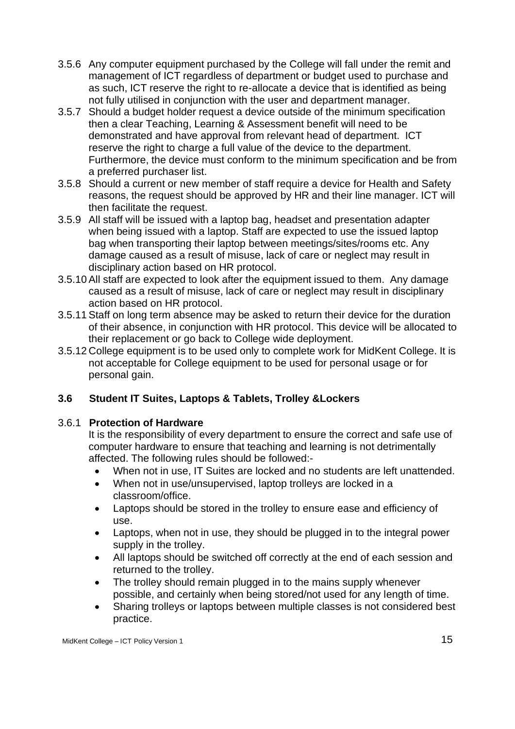- 3.5.6 Any computer equipment purchased by the College will fall under the remit and management of ICT regardless of department or budget used to purchase and as such, ICT reserve the right to re-allocate a device that is identified as being not fully utilised in conjunction with the user and department manager.
- 3.5.7 Should a budget holder request a device outside of the minimum specification then a clear Teaching, Learning & Assessment benefit will need to be demonstrated and have approval from relevant head of department. ICT reserve the right to charge a full value of the device to the department. Furthermore, the device must conform to the minimum specification and be from a preferred purchaser list.
- 3.5.8 Should a current or new member of staff require a device for Health and Safety reasons, the request should be approved by HR and their line manager. ICT will then facilitate the request.
- 3.5.9 All staff will be issued with a laptop bag, headset and presentation adapter when being issued with a laptop. Staff are expected to use the issued laptop bag when transporting their laptop between meetings/sites/rooms etc. Any damage caused as a result of misuse, lack of care or neglect may result in disciplinary action based on HR protocol.
- 3.5.10 All staff are expected to look after the equipment issued to them. Any damage caused as a result of misuse, lack of care or neglect may result in disciplinary action based on HR protocol.
- 3.5.11 Staff on long term absence may be asked to return their device for the duration of their absence, in conjunction with HR protocol. This device will be allocated to their replacement or go back to College wide deployment.
- 3.5.12 College equipment is to be used only to complete work for MidKent College. It is not acceptable for College equipment to be used for personal usage or for personal gain.

# <span id="page-14-0"></span>**3.6 Student IT Suites, Laptops & Tablets, Trolley &Lockers**

### 3.6.1 **Protection of Hardware**

It is the responsibility of every department to ensure the correct and safe use of computer hardware to ensure that teaching and learning is not detrimentally affected. The following rules should be followed:-

- When not in use, IT Suites are locked and no students are left unattended.
- When not in use/unsupervised, laptop trolleys are locked in a classroom/office.
- Laptops should be stored in the trolley to ensure ease and efficiency of use.
- Laptops, when not in use, they should be plugged in to the integral power supply in the trolley.
- All laptops should be switched off correctly at the end of each session and returned to the trolley.
- The trolley should remain plugged in to the mains supply whenever possible, and certainly when being stored/not used for any length of time.
- Sharing trolleys or laptops between multiple classes is not considered best practice.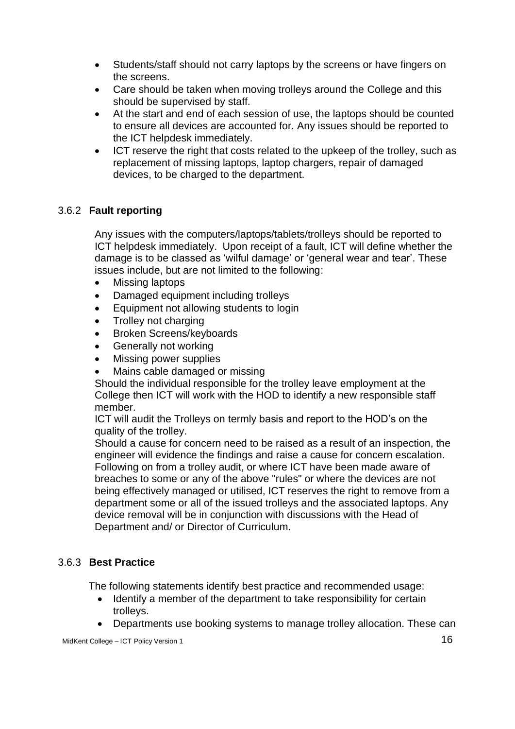- Students/staff should not carry laptops by the screens or have fingers on the screens.
- Care should be taken when moving trolleys around the College and this should be supervised by staff.
- At the start and end of each session of use, the laptops should be counted to ensure all devices are accounted for. Any issues should be reported to the ICT helpdesk immediately.
- ICT reserve the right that costs related to the upkeep of the trolley, such as replacement of missing laptops, laptop chargers, repair of damaged devices, to be charged to the department.

# 3.6.2 **Fault reporting**

Any issues with the computers/laptops/tablets/trolleys should be reported to ICT helpdesk immediately. Upon receipt of a fault, ICT will define whether the damage is to be classed as 'wilful damage' or 'general wear and tear'. These issues include, but are not limited to the following:

- Missing laptops
- Damaged equipment including trolleys
- Equipment not allowing students to login
- Trolley not charging
- Broken Screens/keyboards
- Generally not working
- Missing power supplies
- Mains cable damaged or missing

Should the individual responsible for the trolley leave employment at the College then ICT will work with the HOD to identify a new responsible staff member.

ICT will audit the Trolleys on termly basis and report to the HOD's on the quality of the trolley.

Should a cause for concern need to be raised as a result of an inspection, the engineer will evidence the findings and raise a cause for concern escalation. Following on from a trolley audit, or where ICT have been made aware of breaches to some or any of the above "rules" or where the devices are not being effectively managed or utilised, ICT reserves the right to remove from a department some or all of the issued trolleys and the associated laptops. Any device removal will be in conjunction with discussions with the Head of Department and/ or Director of Curriculum.

# 3.6.3 **Best Practice**

The following statements identify best practice and recommended usage:

- Identify a member of the department to take responsibility for certain trolleys.
- Departments use booking systems to manage trolley allocation. These can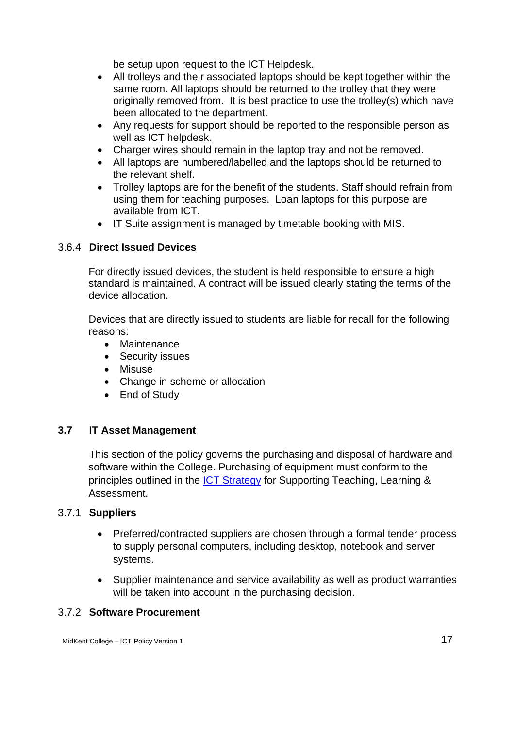be setup upon request to the ICT Helpdesk.

- All trolleys and their associated laptops should be kept together within the same room. All laptops should be returned to the trolley that they were originally removed from. It is best practice to use the trolley(s) which have been allocated to the department.
- Any requests for support should be reported to the responsible person as well as ICT helpdesk.
- Charger wires should remain in the laptop tray and not be removed.
- All laptops are numbered/labelled and the laptops should be returned to the relevant shelf.
- Trolley laptops are for the benefit of the students. Staff should refrain from using them for teaching purposes. Loan laptops for this purpose are available from ICT.
- IT Suite assignment is managed by timetable booking with MIS.

### 3.6.4 **Direct Issued Devices**

For directly issued devices, the student is held responsible to ensure a high standard is maintained. A contract will be issued clearly stating the terms of the device allocation.

Devices that are directly issued to students are liable for recall for the following reasons:

- Maintenance
- Security issues
- Misuse
- Change in scheme or allocation
- End of Study

### <span id="page-16-0"></span>**3.7 IT Asset Management**

This section of the policy governs the purchasing and disposal of hardware and software within the College. Purchasing of equipment must conform to the principles outlined in the [ICT Strategy](https://sp.midkent.ac.uk/sites/ict/ictdocs/ICT%20Policies/ICT%20Strategy/2018-21/ICT%20Strategy%202018-21.docx) for Supporting Teaching, Learning & Assessment.

### 3.7.1 **Suppliers**

- Preferred/contracted suppliers are chosen through a formal tender process to supply personal computers, including desktop, notebook and server systems.
- Supplier maintenance and service availability as well as product warranties will be taken into account in the purchasing decision.

### 3.7.2 **Software Procurement**

MidKent College – ICT Policy Version 1 17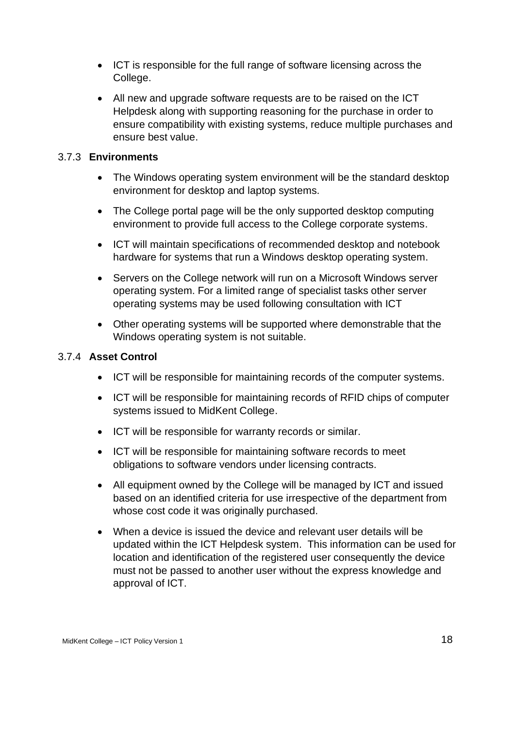- ICT is responsible for the full range of software licensing across the College.
- All new and upgrade software requests are to be raised on the ICT Helpdesk along with supporting reasoning for the purchase in order to ensure compatibility with existing systems, reduce multiple purchases and ensure best value.

### 3.7.3 **Environments**

- The Windows operating system environment will be the standard desktop environment for desktop and laptop systems.
- The College portal page will be the only supported desktop computing environment to provide full access to the College corporate systems.
- ICT will maintain specifications of recommended desktop and notebook hardware for systems that run a Windows desktop operating system.
- Servers on the College network will run on a Microsoft Windows server operating system. For a limited range of specialist tasks other server operating systems may be used following consultation with ICT
- Other operating systems will be supported where demonstrable that the Windows operating system is not suitable.

### 3.7.4 **Asset Control**

- ICT will be responsible for maintaining records of the computer systems.
- ICT will be responsible for maintaining records of RFID chips of computer systems issued to MidKent College.
- ICT will be responsible for warranty records or similar.
- ICT will be responsible for maintaining software records to meet obligations to software vendors under licensing contracts.
- All equipment owned by the College will be managed by ICT and issued based on an identified criteria for use irrespective of the department from whose cost code it was originally purchased.
- When a device is issued the device and relevant user details will be updated within the ICT Helpdesk system. This information can be used for location and identification of the registered user consequently the device must not be passed to another user without the express knowledge and approval of ICT.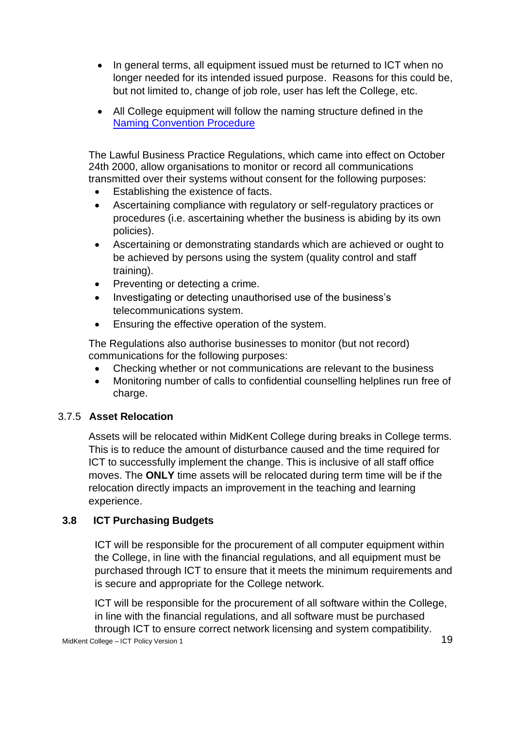- In general terms, all equipment issued must be returned to ICT when no longer needed for its intended issued purpose. Reasons for this could be, but not limited to, change of job role, user has left the College, etc.
- All College equipment will follow the naming structure defined in the [Naming Convention Procedure](https://sp.midkent.ac.uk/sites/ict/ictdocs/ICT%20Procedures/Naming%20Convention/Naming-Convention-v2.docx?Web=1)

The Lawful Business Practice Regulations, which came into effect on October 24th 2000, allow organisations to monitor or record all communications transmitted over their systems without consent for the following purposes:

- Establishing the existence of facts.
- Ascertaining compliance with regulatory or self-regulatory practices or procedures (i.e. ascertaining whether the business is abiding by its own policies).
- Ascertaining or demonstrating standards which are achieved or ought to be achieved by persons using the system (quality control and staff training).
- Preventing or detecting a crime.
- Investigating or detecting unauthorised use of the business's telecommunications system.
- Ensuring the effective operation of the system.

The Regulations also authorise businesses to monitor (but not record) communications for the following purposes:

- Checking whether or not communications are relevant to the business
- Monitoring number of calls to confidential counselling helplines run free of charge.

### 3.7.5 **Asset Relocation**

Assets will be relocated within MidKent College during breaks in College terms. This is to reduce the amount of disturbance caused and the time required for ICT to successfully implement the change. This is inclusive of all staff office moves. The **ONLY** time assets will be relocated during term time will be if the relocation directly impacts an improvement in the teaching and learning experience.

### <span id="page-18-0"></span>**3.8 ICT Purchasing Budgets**

ICT will be responsible for the procurement of all computer equipment within the College, in line with the financial regulations, and all equipment must be purchased through ICT to ensure that it meets the minimum requirements and is secure and appropriate for the College network.

MidKent College – ICT Policy Version 1 19 ICT will be responsible for the procurement of all software within the College, in line with the financial regulations, and all software must be purchased through ICT to ensure correct network licensing and system compatibility.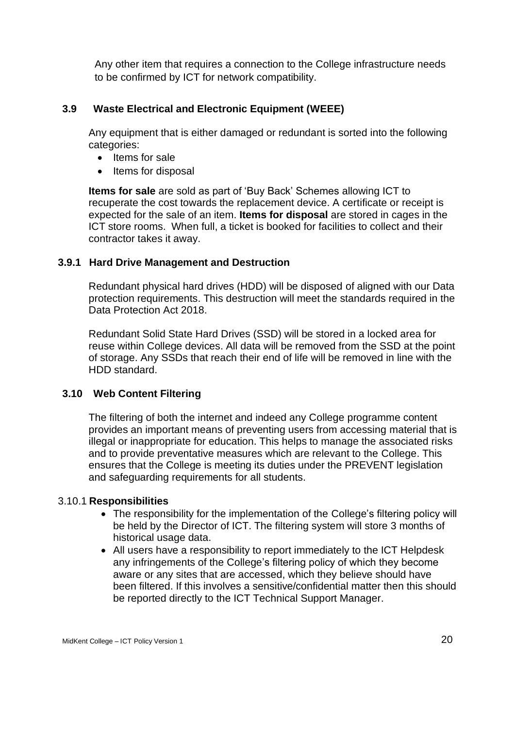Any other item that requires a connection to the College infrastructure needs to be confirmed by ICT for network compatibility.

### <span id="page-19-0"></span>**3.9 Waste Electrical and Electronic Equipment (WEEE)**

Any equipment that is either damaged or redundant is sorted into the following categories:

- Items for sale
- Items for disposal

**Items for sale** are sold as part of 'Buy Back' Schemes allowing ICT to recuperate the cost towards the replacement device. A certificate or receipt is expected for the sale of an item. **Items for disposal** are stored in cages in the ICT store rooms. When full, a ticket is booked for facilities to collect and their contractor takes it away.

### **3.9.1 Hard Drive Management and Destruction**

Redundant physical hard drives (HDD) will be disposed of aligned with our Data protection requirements. This destruction will meet the standards required in the Data Protection Act 2018.

Redundant Solid State Hard Drives (SSD) will be stored in a locked area for reuse within College devices. All data will be removed from the SSD at the point of storage. Any SSDs that reach their end of life will be removed in line with the HDD standard.

### <span id="page-19-1"></span>**3.10 Web Content Filtering**

The filtering of both the internet and indeed any College programme content provides an important means of preventing users from accessing material that is illegal or inappropriate for education. This helps to manage the associated risks and to provide preventative measures which are relevant to the College. This ensures that the College is meeting its duties under the PREVENT legislation and safeguarding requirements for all students.

### 3.10.1 **Responsibilities**

- The responsibility for the implementation of the College's filtering policy will be held by the Director of ICT. The filtering system will store 3 months of historical usage data.
- All users have a responsibility to report immediately to the ICT Helpdesk any infringements of the College's filtering policy of which they become aware or any sites that are accessed, which they believe should have been filtered. If this involves a sensitive/confidential matter then this should be reported directly to the ICT Technical Support Manager.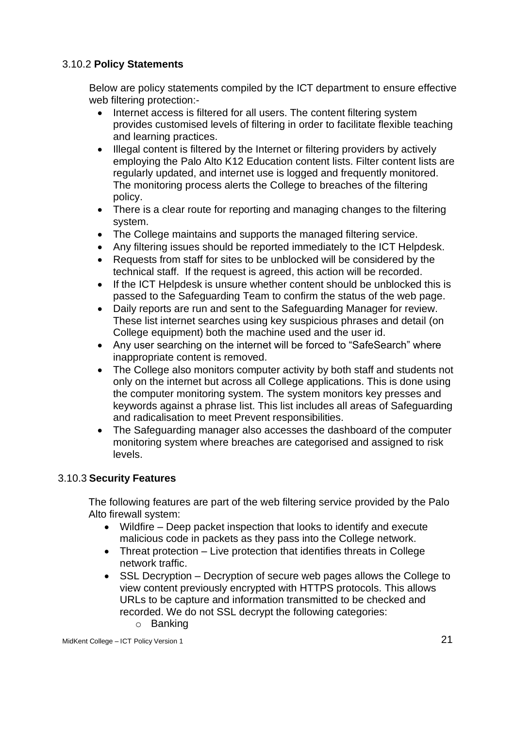### 3.10.2 **Policy Statements**

Below are policy statements compiled by the ICT department to ensure effective web filtering protection:-

- Internet access is filtered for all users. The content filtering system provides customised levels of filtering in order to facilitate flexible teaching and learning practices.
- Illegal content is filtered by the Internet or filtering providers by actively employing the Palo Alto K12 Education content lists. Filter content lists are regularly updated, and internet use is logged and frequently monitored. The monitoring process alerts the College to breaches of the filtering policy.
- There is a clear route for reporting and managing changes to the filtering system.
- The College maintains and supports the managed filtering service.
- Any filtering issues should be reported immediately to the ICT Helpdesk.
- Requests from staff for sites to be unblocked will be considered by the technical staff. If the request is agreed, this action will be recorded.
- If the ICT Helpdesk is unsure whether content should be unblocked this is passed to the Safeguarding Team to confirm the status of the web page.
- Daily reports are run and sent to the Safeguarding Manager for review. These list internet searches using key suspicious phrases and detail (on College equipment) both the machine used and the user id.
- Any user searching on the internet will be forced to "SafeSearch" where inappropriate content is removed.
- The College also monitors computer activity by both staff and students not only on the internet but across all College applications. This is done using the computer monitoring system. The system monitors key presses and keywords against a phrase list. This list includes all areas of Safeguarding and radicalisation to meet Prevent responsibilities.
- The Safeguarding manager also accesses the dashboard of the computer monitoring system where breaches are categorised and assigned to risk levels.

### 3.10.3 **Security Features**

The following features are part of the web filtering service provided by the Palo Alto firewall system:

- Wildfire Deep packet inspection that looks to identify and execute malicious code in packets as they pass into the College network.
- Threat protection Live protection that identifies threats in College network traffic.
- SSL Decryption Decryption of secure web pages allows the College to view content previously encrypted with HTTPS protocols. This allows URLs to be capture and information transmitted to be checked and recorded. We do not SSL decrypt the following categories: o Banking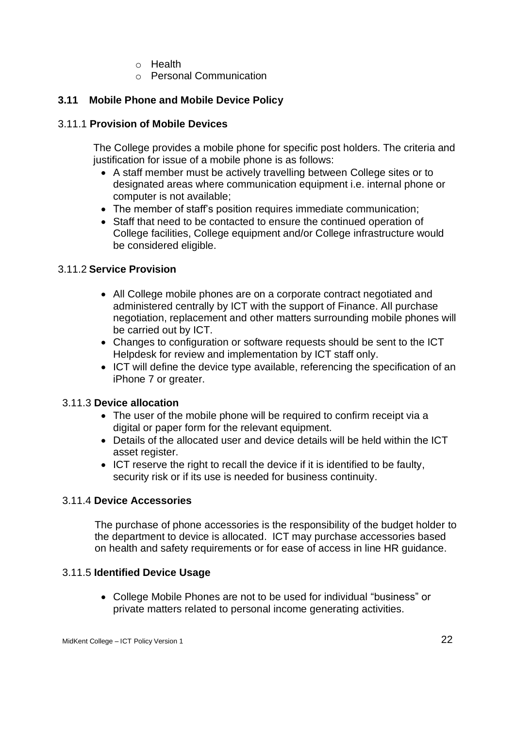- o Health
- o Personal Communication

### <span id="page-21-0"></span>**3.11 Mobile Phone and Mobile Device Policy**

### 3.11.1 **Provision of Mobile Devices**

The College provides a mobile phone for specific post holders. The criteria and justification for issue of a mobile phone is as follows:

- A staff member must be actively travelling between College sites or to designated areas where communication equipment i.e. internal phone or computer is not available;
- The member of staff's position requires immediate communication;
- Staff that need to be contacted to ensure the continued operation of College facilities, College equipment and/or College infrastructure would be considered eligible.

### 3.11.2 **Service Provision**

- All College mobile phones are on a corporate contract negotiated and administered centrally by ICT with the support of Finance. All purchase negotiation, replacement and other matters surrounding mobile phones will be carried out by ICT.
- Changes to configuration or software requests should be sent to the ICT Helpdesk for review and implementation by ICT staff only.
- ICT will define the device type available, referencing the specification of an iPhone 7 or greater.

### 3.11.3 **Device allocation**

- The user of the mobile phone will be required to confirm receipt via a digital or paper form for the relevant equipment.
- Details of the allocated user and device details will be held within the ICT asset register.
- ICT reserve the right to recall the device if it is identified to be faulty, security risk or if its use is needed for business continuity.

### 3.11.4 **Device Accessories**

The purchase of phone accessories is the responsibility of the budget holder to the department to device is allocated. ICT may purchase accessories based on health and safety requirements or for ease of access in line HR guidance.

### 3.11.5 **Identified Device Usage**

• College Mobile Phones are not to be used for individual "business" or private matters related to personal income generating activities.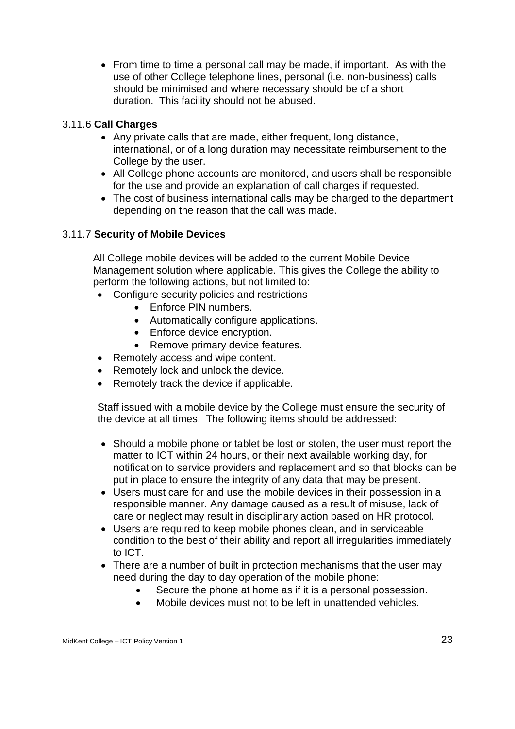• From time to time a personal call may be made, if important. As with the use of other College telephone lines, personal (i.e. non-business) calls should be minimised and where necessary should be of a short duration. This facility should not be abused.

### 3.11.6 **Call Charges**

- Any private calls that are made, either frequent, long distance, international, or of a long duration may necessitate reimbursement to the College by the user.
- All College phone accounts are monitored, and users shall be responsible for the use and provide an explanation of call charges if requested.
- The cost of business international calls may be charged to the department depending on the reason that the call was made.

### 3.11.7 **Security of Mobile Devices**

All College mobile devices will be added to the current Mobile Device Management solution where applicable. This gives the College the ability to perform the following actions, but not limited to:

- Configure security policies and restrictions
	- Enforce PIN numbers.
	- Automatically configure applications.
	- Enforce device encryption.
	- Remove primary device features.
- Remotely access and wipe content.
- Remotely lock and unlock the device.
- Remotely track the device if applicable.

Staff issued with a mobile device by the College must ensure the security of the device at all times. The following items should be addressed:

- Should a mobile phone or tablet be lost or stolen, the user must report the matter to ICT within 24 hours, or their next available working day, for notification to service providers and replacement and so that blocks can be put in place to ensure the integrity of any data that may be present.
- Users must care for and use the mobile devices in their possession in a responsible manner. Any damage caused as a result of misuse, lack of care or neglect may result in disciplinary action based on HR protocol.
- Users are required to keep mobile phones clean, and in serviceable condition to the best of their ability and report all irregularities immediately to ICT.
- There are a number of built in protection mechanisms that the user may need during the day to day operation of the mobile phone:
	- Secure the phone at home as if it is a personal possession.
	- Mobile devices must not to be left in unattended vehicles.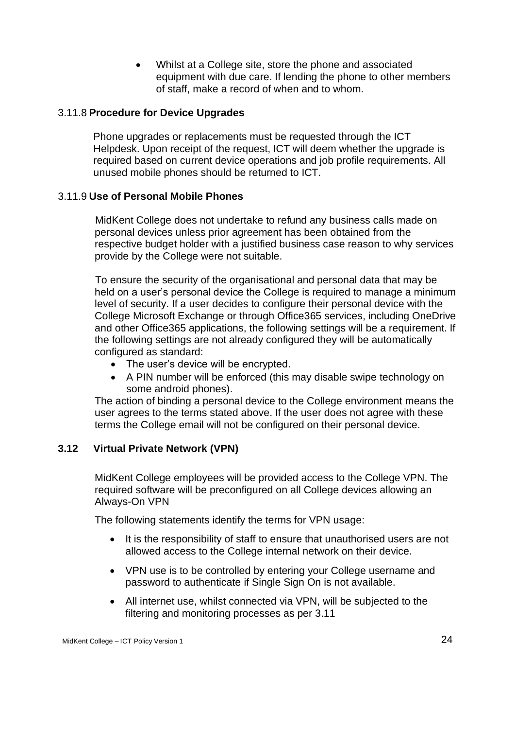• Whilst at a College site, store the phone and associated equipment with due care. If lending the phone to other members of staff, make a record of when and to whom.

### 3.11.8 **Procedure for Device Upgrades**

Phone upgrades or replacements must be requested through the ICT Helpdesk. Upon receipt of the request, ICT will deem whether the upgrade is required based on current device operations and job profile requirements. All unused mobile phones should be returned to ICT.

### 3.11.9 **Use of Personal Mobile Phones**

MidKent College does not undertake to refund any business calls made on personal devices unless prior agreement has been obtained from the respective budget holder with a justified business case reason to why services provide by the College were not suitable.

To ensure the security of the organisational and personal data that may be held on a user's personal device the College is required to manage a minimum level of security. If a user decides to configure their personal device with the College Microsoft Exchange or through Office365 services, including OneDrive and other Office365 applications, the following settings will be a requirement. If the following settings are not already configured they will be automatically configured as standard:

- The user's device will be encrypted.
- A PIN number will be enforced (this may disable swipe technology on some android phones).

The action of binding a personal device to the College environment means the user agrees to the terms stated above. If the user does not agree with these terms the College email will not be configured on their personal device.

### <span id="page-23-0"></span>**3.12 Virtual Private Network (VPN)**

MidKent College employees will be provided access to the College VPN. The required software will be preconfigured on all College devices allowing an Always-On VPN

The following statements identify the terms for VPN usage:

- It is the responsibility of staff to ensure that unauthorised users are not allowed access to the College internal network on their device.
- VPN use is to be controlled by entering your College username and password to authenticate if Single Sign On is not available.
- All internet use, whilst connected via VPN, will be subjected to the filtering and monitoring processes as per 3.11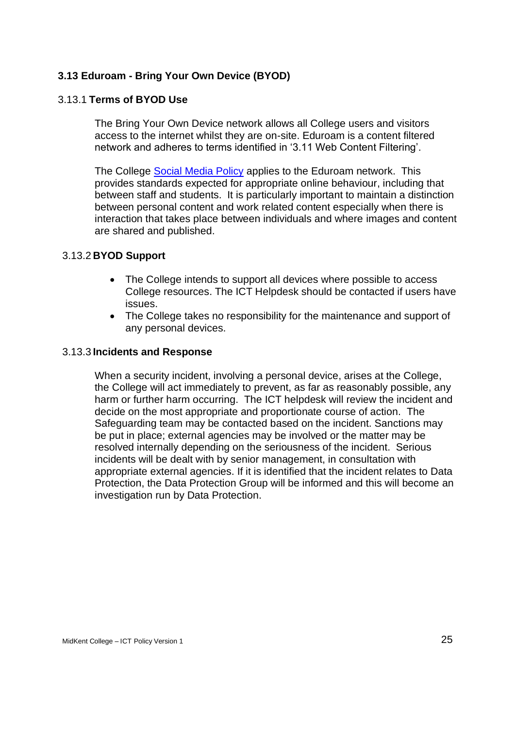### <span id="page-24-0"></span>**3.13 Eduroam - Bring Your Own Device (BYOD)**

### 3.13.1 **Terms of BYOD Use**

The Bring Your Own Device network allows all College users and visitors access to the internet whilst they are on-site. Eduroam is a content filtered network and adheres to terms identified in '3.11 Web Content Filtering'.

The College [Social Media Policy](https://sp.midkent.ac.uk/sites/hr/Documents/Employment%20Policies/Social%20Media%20Misuse%20Policy%20and%20Procedure%20V2%20Sept%202015.pdf?Web=1) applies to the Eduroam network. This provides standards expected for appropriate online behaviour, including that between staff and students. It is particularly important to maintain a distinction between personal content and work related content especially when there is interaction that takes place between individuals and where images and content are shared and published.

#### 3.13.2 **BYOD Support**

- The College intends to support all devices where possible to access College resources. The ICT Helpdesk should be contacted if users have issues.
- The College takes no responsibility for the maintenance and support of any personal devices.

#### 3.13.3 **Incidents and Response**

When a security incident, involving a personal device, arises at the College, the College will act immediately to prevent, as far as reasonably possible, any harm or further harm occurring. The ICT helpdesk will review the incident and decide on the most appropriate and proportionate course of action. The Safeguarding team may be contacted based on the incident. Sanctions may be put in place; external agencies may be involved or the matter may be resolved internally depending on the seriousness of the incident. Serious incidents will be dealt with by senior management, in consultation with appropriate external agencies. If it is identified that the incident relates to Data Protection, the Data Protection Group will be informed and this will become an investigation run by Data Protection.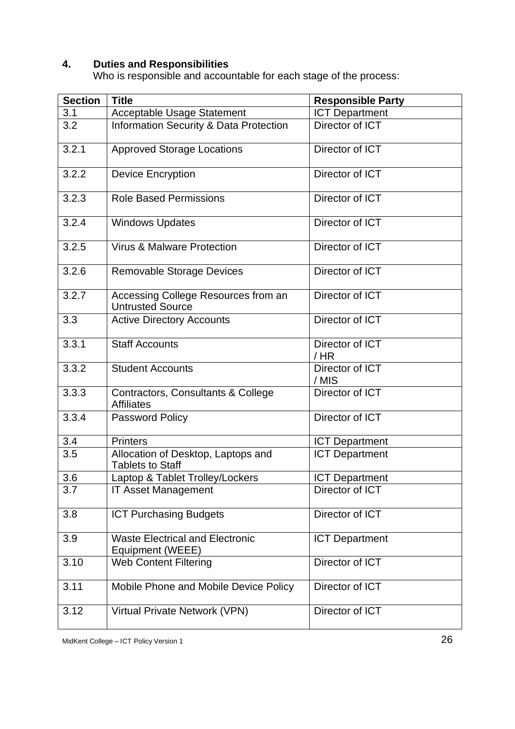### <span id="page-25-0"></span>**4. Duties and Responsibilities**

Who is responsible and accountable for each stage of the process:

| <b>Section</b> | <b>Title</b>                                                   | <b>Responsible Party</b>  |  |  |
|----------------|----------------------------------------------------------------|---------------------------|--|--|
| 3.1            | <b>Acceptable Usage Statement</b>                              | <b>ICT Department</b>     |  |  |
| 3.2            | <b>Information Security &amp; Data Protection</b>              | Director of ICT           |  |  |
| 3.2.1          | <b>Approved Storage Locations</b>                              | Director of ICT           |  |  |
| 3.2.2          | <b>Device Encryption</b>                                       | Director of ICT           |  |  |
| 3.2.3          | <b>Role Based Permissions</b>                                  | Director of ICT           |  |  |
| 3.2.4          | <b>Windows Updates</b>                                         | Director of ICT           |  |  |
| 3.2.5          | <b>Virus &amp; Malware Protection</b>                          | Director of ICT           |  |  |
| 3.2.6          | <b>Removable Storage Devices</b>                               | Director of ICT           |  |  |
| 3.2.7          | Accessing College Resources from an<br><b>Untrusted Source</b> | Director of ICT           |  |  |
| 3.3            | <b>Active Directory Accounts</b>                               | Director of ICT           |  |  |
| 3.3.1          | <b>Staff Accounts</b>                                          | Director of ICT<br>$/$ HR |  |  |
| 3.3.2          | <b>Student Accounts</b>                                        | Director of ICT<br>/ MIS  |  |  |
| 3.3.3          | Contractors, Consultants & College<br><b>Affiliates</b>        | Director of ICT           |  |  |
| 3.3.4          | Password Policy                                                | Director of ICT           |  |  |
| 3.4            | <b>Printers</b>                                                | <b>ICT Department</b>     |  |  |
| 3.5            | Allocation of Desktop, Laptops and<br><b>Tablets to Staff</b>  | <b>ICT Department</b>     |  |  |
| 3.6            | Laptop & Tablet Trolley/Lockers                                | <b>ICT Department</b>     |  |  |
| 3.7            | <b>IT Asset Management</b>                                     | Director of ICT           |  |  |
| 3.8            | <b>ICT Purchasing Budgets</b>                                  | Director of ICT           |  |  |
| 3.9            | <b>Waste Electrical and Electronic</b><br>Equipment (WEEE)     | <b>ICT Department</b>     |  |  |
| 3.10           | <b>Web Content Filtering</b>                                   | Director of ICT           |  |  |
| 3.11           | Mobile Phone and Mobile Device Policy                          | Director of ICT           |  |  |
| 3.12           | Virtual Private Network (VPN)                                  | Director of ICT           |  |  |

MidKent College – ICT Policy Version 1 26